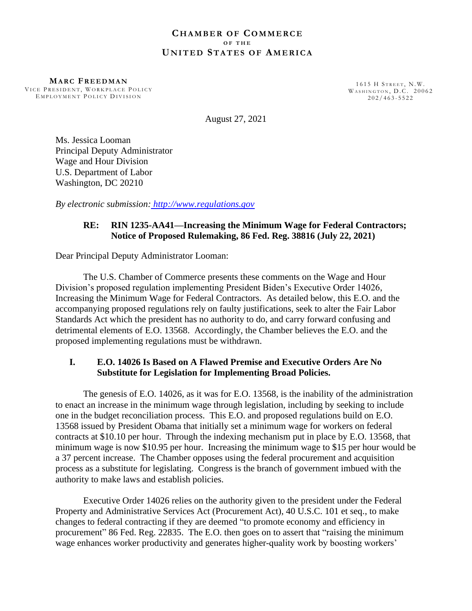#### **C H A M B E R O F CO M M E R C E O F T H E U N I T E D ST A T E S O F AM E R I C A**

**MA R C FR E E D M A N** VICE PRESIDENT, WORKPLACE POLICY EMPLOYMENT POLICY DIVISION

1615 H STREET, N.W. WASHINGTON, D.C. 20062  $202/463 - 5522$ 

August 27, 2021

Ms. Jessica Looman Principal Deputy Administrator Wage and Hour Division U.S. Department of Labor Washington, DC 20210

*By electronic submission: http://www.regulations.gov*

## **RE: RIN 1235-AA41—Increasing the Minimum Wage for Federal Contractors; Notice of Proposed Rulemaking, 86 Fed. Reg. 38816 (July 22, 2021)**

Dear Principal Deputy Administrator Looman:

The U.S. Chamber of Commerce presents these comments on the Wage and Hour Division's proposed regulation implementing President Biden's Executive Order 14026, Increasing the Minimum Wage for Federal Contractors. As detailed below, this E.O. and the accompanying proposed regulations rely on faulty justifications, seek to alter the Fair Labor Standards Act which the president has no authority to do, and carry forward confusing and detrimental elements of E.O. 13568. Accordingly, the Chamber believes the E.O. and the proposed implementing regulations must be withdrawn.

# **I. E.O. 14026 Is Based on A Flawed Premise and Executive Orders Are No Substitute for Legislation for Implementing Broad Policies.**

The genesis of E.O. 14026, as it was for E.O. 13568, is the inability of the administration to enact an increase in the minimum wage through legislation, including by seeking to include one in the budget reconciliation process. This E.O. and proposed regulations build on E.O. 13568 issued by President Obama that initially set a minimum wage for workers on federal contracts at \$10.10 per hour. Through the indexing mechanism put in place by E.O. 13568, that minimum wage is now \$10.95 per hour. Increasing the minimum wage to \$15 per hour would be a 37 percent increase. The Chamber opposes using the federal procurement and acquisition process as a substitute for legislating. Congress is the branch of government imbued with the authority to make laws and establish policies.

Executive Order 14026 relies on the authority given to the president under the Federal Property and Administrative Services Act (Procurement Act), 40 U.S.C. 101 et seq., to make changes to federal contracting if they are deemed "to promote economy and efficiency in procurement" 86 Fed. Reg. 22835. The E.O. then goes on to assert that "raising the minimum wage enhances worker productivity and generates higher-quality work by boosting workers'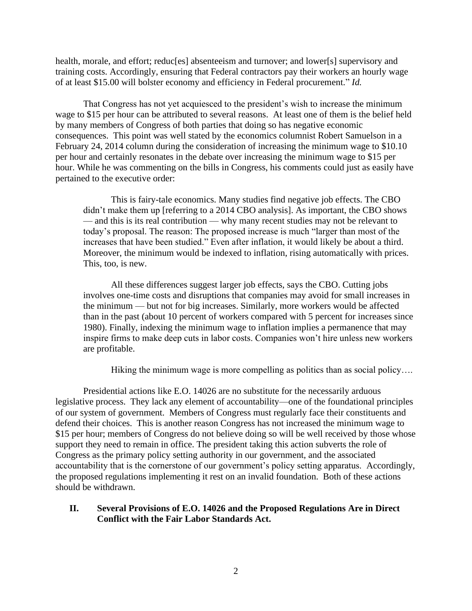health, morale, and effort; reduc[es] absenteeism and turnover; and lower[s] supervisory and training costs. Accordingly, ensuring that Federal contractors pay their workers an hourly wage of at least \$15.00 will bolster economy and efficiency in Federal procurement." *Id.*

That Congress has not yet acquiesced to the president's wish to increase the minimum wage to \$15 per hour can be attributed to several reasons. At least one of them is the belief held by many members of Congress of both parties that doing so has negative economic consequences. This point was well stated by the economics columnist Robert Samuelson in a February 24, 2014 column during the consideration of increasing the minimum wage to \$10.10 per hour and certainly resonates in the debate over increasing the minimum wage to \$15 per hour. While he was commenting on the bills in Congress, his comments could just as easily have pertained to the executive order:

This is fairy-tale economics. Many studies find negative job effects. The CBO didn't make them up [referring to a 2014 CBO analysis]. As important, the CBO shows — and this is its real contribution — why many recent studies may not be relevant to today's proposal. The reason: The proposed increase is much "larger than most of the increases that have been studied." Even after inflation, it would likely be about a third. Moreover, the minimum would be indexed to inflation, rising automatically with prices. This, too, is new.

All these differences suggest larger job effects, says the CBO. Cutting jobs involves one-time costs and disruptions that companies may avoid for small increases in the minimum — but not for big increases. Similarly, more workers would be affected than in the past (about 10 percent of workers compared with 5 percent for increases since 1980). Finally, indexing the minimum wage to inflation implies a permanence that may inspire firms to make deep cuts in labor costs. Companies won't hire unless new workers are profitable.

Hiking the minimum wage is more compelling as politics than as social policy....

Presidential actions like E.O. 14026 are no substitute for the necessarily arduous legislative process. They lack any element of accountability—one of the foundational principles of our system of government. Members of Congress must regularly face their constituents and defend their choices. This is another reason Congress has not increased the minimum wage to \$15 per hour; members of Congress do not believe doing so will be well received by those whose support they need to remain in office. The president taking this action subverts the role of Congress as the primary policy setting authority in our government, and the associated accountability that is the cornerstone of our government's policy setting apparatus. Accordingly, the proposed regulations implementing it rest on an invalid foundation. Both of these actions should be withdrawn.

#### **II. Several Provisions of E.O. 14026 and the Proposed Regulations Are in Direct Conflict with the Fair Labor Standards Act.**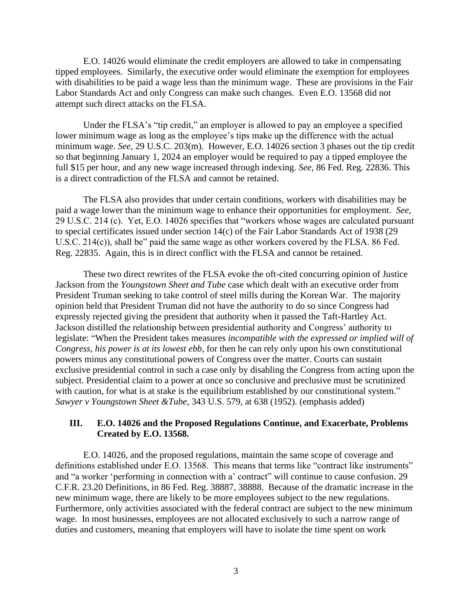E.O. 14026 would eliminate the credit employers are allowed to take in compensating tipped employees. Similarly, the executive order would eliminate the exemption for employees with disabilities to be paid a wage less than the minimum wage. These are provisions in the Fair Labor Standards Act and only Congress can make such changes. Even E.O. 13568 did not attempt such direct attacks on the FLSA.

Under the FLSA's "tip credit," an employer is allowed to pay an employee a specified lower minimum wage as long as the employee's tips make up the difference with the actual minimum wage. *See,* 29 U.S.C. 203(m). However, E.O. 14026 section 3 phases out the tip credit so that beginning January 1, 2024 an employer would be required to pay a tipped employee the full \$15 per hour, and any new wage increased through indexing. *See,* 86 Fed. Reg. 22836. This is a direct contradiction of the FLSA and cannot be retained.

The FLSA also provides that under certain conditions, workers with disabilities may be paid a wage lower than the minimum wage to enhance their opportunities for employment. *See,* 29 U.S.C. 214 (c). Yet, E.O. 14026 specifies that "workers whose wages are calculated pursuant to special certificates issued under section 14(c) of the Fair Labor Standards Act of 1938 (29 U.S.C. 214(c)), shall be" paid the same wage as other workers covered by the FLSA. 86 Fed. Reg. 22835. Again, this is in direct conflict with the FLSA and cannot be retained.

These two direct rewrites of the FLSA evoke the oft-cited concurring opinion of Justice Jackson from the *Youngstown Sheet and Tube* case which dealt with an executive order from President Truman seeking to take control of steel mills during the Korean War. The majority opinion held that President Truman did not have the authority to do so since Congress had expressly rejected giving the president that authority when it passed the Taft-Hartley Act. Jackson distilled the relationship between presidential authority and Congress' authority to legislate: "When the President takes measures *incompatible with the expressed or implied will of Congress, his power is at its lowest ebb*, for then he can rely only upon his own constitutional powers minus any constitutional powers of Congress over the matter. Courts can sustain exclusive presidential control in such a case only by disabling the Congress from acting upon the subject. Presidential claim to a power at once so conclusive and preclusive must be scrutinized with caution, for what is at stake is the equilibrium established by our constitutional system." *Sawyer v Youngstown Sheet &Tube*, 343 U.S. 579, at 638 (1952). (emphasis added)

### **III. E.O. 14026 and the Proposed Regulations Continue, and Exacerbate, Problems Created by E.O. 13568.**

E.O. 14026, and the proposed regulations, maintain the same scope of coverage and definitions established under E.O. 13568. This means that terms like "contract like instruments" and "a worker 'performing in connection with a' contract" will continue to cause confusion. 29 C.F.R. 23.20 Definitions, in 86 Fed. Reg. 38887, 38888. Because of the dramatic increase in the new minimum wage, there are likely to be more employees subject to the new regulations. Furthermore, only activities associated with the federal contract are subject to the new minimum wage. In most businesses, employees are not allocated exclusively to such a narrow range of duties and customers, meaning that employers will have to isolate the time spent on work